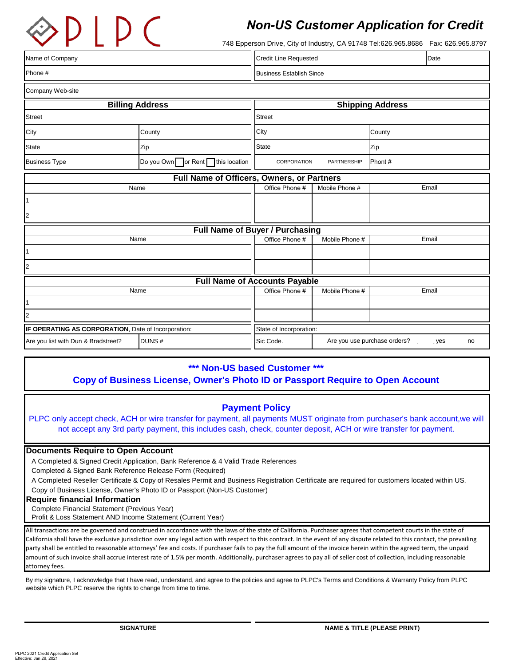

## *Non-US Customer Application for Credit*

748 Epperson Drive, City of Industry, CA 91748 Tel:626.965.8686 Fax: 626.965.8797

| Name of Company                                     |                                  | <b>Credit Line Requested</b>    |                                            | Date                                        |        |       |
|-----------------------------------------------------|----------------------------------|---------------------------------|--------------------------------------------|---------------------------------------------|--------|-------|
| Phone #                                             |                                  | <b>Business Establish Since</b> |                                            |                                             |        |       |
| Company Web-site                                    |                                  |                                 |                                            |                                             |        |       |
|                                                     | <b>Billing Address</b>           |                                 | <b>Shipping Address</b>                    |                                             |        |       |
| <b>Street</b>                                       |                                  |                                 | <b>Street</b>                              |                                             |        |       |
| City                                                | County                           |                                 | City                                       |                                             | County |       |
| <b>State</b>                                        | Zip                              |                                 | <b>State</b>                               |                                             | Zip    |       |
| <b>Business Type</b>                                | Do you Own or Rent this location |                                 | CORPORATION<br>PARTNERSHIP                 |                                             | Phont# |       |
|                                                     |                                  |                                 | Full Name of Officers, Owners, or Partners |                                             |        |       |
|                                                     | Name                             |                                 | Office Phone #                             | Mobile Phone #                              |        | Email |
|                                                     |                                  |                                 |                                            |                                             |        |       |
| $\overline{2}$                                      |                                  |                                 |                                            |                                             |        |       |
|                                                     |                                  |                                 | <b>Full Name of Buyer / Purchasing</b>     |                                             |        |       |
|                                                     | Name                             |                                 | Office Phone #                             | Mobile Phone #                              |        | Email |
|                                                     |                                  |                                 |                                            |                                             |        |       |
| $\overline{2}$                                      |                                  |                                 |                                            |                                             |        |       |
|                                                     |                                  |                                 | <b>Full Name of Accounts Payable</b>       |                                             |        |       |
| Name                                                |                                  |                                 | Office Phone #                             | Mobile Phone #                              |        | Email |
|                                                     |                                  |                                 |                                            |                                             |        |       |
| $\overline{2}$                                      |                                  |                                 |                                            |                                             |        |       |
| IF OPERATING AS CORPORATION, Date of Incorporation: |                                  |                                 | State of Incorporation:                    |                                             |        |       |
| DUNS#<br>Are you list with Dun & Bradstreet?        |                                  |                                 | Sic Code.                                  | Are you use purchase orders?<br>. yes<br>no |        |       |

### **\*\*\* Non-US based Customer \*\*\***

### **Copy of Business License, Owner's Photo ID or Passport Require to Open Account**

### **Payment Policy**

PLPC only accept check, ACH or wire transfer for payment, all payments MUST originate from purchaser's bank account,we will not accept any 3rd party payment, this includes cash, check, counter deposit, ACH or wire transfer for payment.

#### **Documents Require to Open Account**

A Completed & Signed Credit Application, Bank Reference & 4 Valid Trade References

Completed & Signed Bank Reference Release Form (Required)

A Completed Reseller Certificate & Copy of Resales Permit and Business Registration Certificate are required for customers located within US.

Copy of Business License, Owner's Photo ID or Passport (Non-US Customer)

**Require financial Information**

Complete Financial Statement (Previous Year)

Profit & Loss Statement AND Income Statement (Current Year)

All transactions are be governed and construed in accordance with the laws of the state of California. Purchaser agrees that competent courts in the state of California shall have the exclusive jurisdiction over any legal action with respect to this contract. In the event of any dispute related to this contact, the prevailing party shall be entitled to reasonable attorneys' fee and costs. If purchaser fails to pay the full amount of the invoice herein within the agreed term, the unpaid amount of such invoice shall accrue interest rate of 1.5% per month. Additionally, purchaser agrees to pay all of seller cost of collection, including reasonable attorney fees.

By my signature, I acknowledge that I have read, understand, and agree to the policies and agree to PLPC's Terms and Conditions & Warranty Policy from PLPC website which PLPC reserve the rights to change from time to time.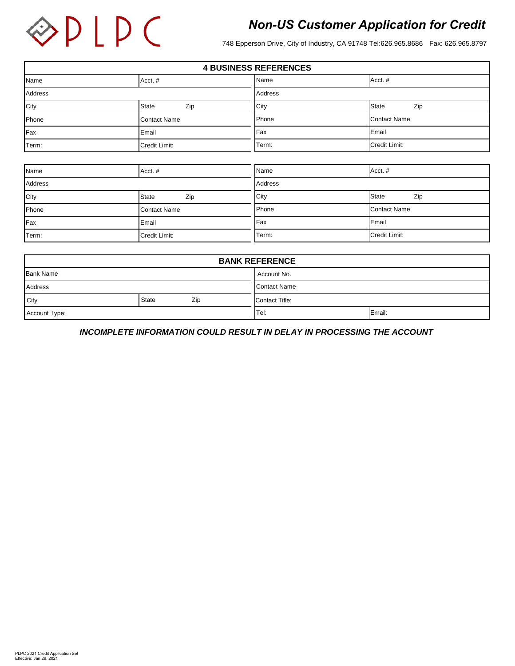

# *Non-US Customer Application for Credit*

748 Epperson Drive, City of Industry, CA 91748 Tel:626.965.8686 Fax: 626.965.8797

| <b>4 BUSINESS REFERENCES</b> |                     |               |                     |  |
|------------------------------|---------------------|---------------|---------------------|--|
| Name                         | Acct.#              | Name          | Acct.#              |  |
| Address                      |                     | Address       |                     |  |
| City                         | Zip<br>State        | City          | <b>State</b><br>Zip |  |
| Phone                        | <b>Contact Name</b> | <b>Phone</b>  | <b>Contact Name</b> |  |
| Fax                          | Email               | Fax           | Email               |  |
| Term:                        | Credit Limit:       | <b>ITerm:</b> | Credit Limit:       |  |

| Name    | Acct.#              | Name    | Acct.#              |  |
|---------|---------------------|---------|---------------------|--|
| Address |                     | Address |                     |  |
| City    | Zip<br><b>State</b> | City    | <b>State</b><br>Zip |  |
| Phone   | <b>Contact Name</b> | Phone   | <b>Contact Name</b> |  |
| Fax     | Email               | Fax     | Email               |  |
| Term:   | Credit Limit:       | Term:   | Credit Limit:       |  |

| <b>BANK REFERENCE</b>           |  |                |                     |        |  |  |
|---------------------------------|--|----------------|---------------------|--------|--|--|
| <b>Bank Name</b><br>Account No. |  |                |                     |        |  |  |
| Address                         |  |                | <b>Contact Name</b> |        |  |  |
| <b>State</b><br>Zip<br>City     |  | Contact Title: |                     |        |  |  |
| Account Type:                   |  |                | Tel:                | Email: |  |  |

*INCOMPLETE INFORMATION COULD RESULT IN DELAY IN PROCESSING THE ACCOUNT*